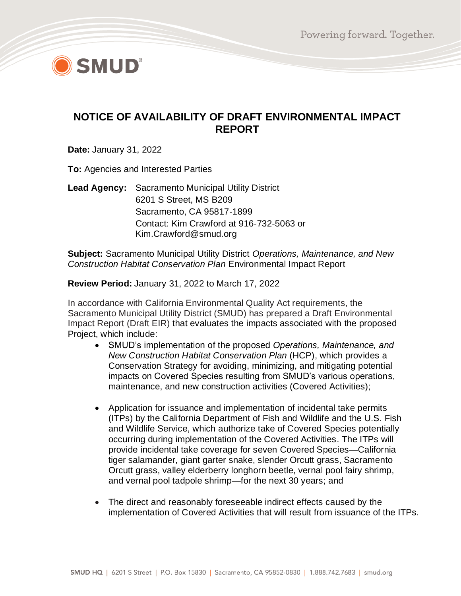

# **NOTICE OF AVAILABILITY OF DRAFT ENVIRONMENTAL IMPACT REPORT**

**Date:** January 31, 2022

**To:** Agencies and Interested Parties

**Lead Agency:** Sacramento Municipal Utility District 6201 S Street, MS B209 Sacramento, CA 95817-1899 Contact: Kim Crawford at 916-732-5063 or Kim.Crawford@smud.org

**Subject:** Sacramento Municipal Utility District *Operations, Maintenance, and New Construction Habitat Conservation Plan* Environmental Impact Report

**Review Period:** January 31, 2022 to March 17, 2022

In accordance with California Environmental Quality Act requirements, the Sacramento Municipal Utility District (SMUD) has prepared a Draft Environmental Impact Report (Draft EIR) that evaluates the impacts associated with the proposed Project, which include:

- SMUD's implementation of the proposed *Operations, Maintenance, and New Construction Habitat Conservation Plan* (HCP), which provides a Conservation Strategy for avoiding, minimizing, and mitigating potential impacts on Covered Species resulting from SMUD's various operations, maintenance, and new construction activities (Covered Activities);
- Application for issuance and implementation of incidental take permits (ITPs) by the California Department of Fish and Wildlife and the U.S. Fish and Wildlife Service, which authorize take of Covered Species potentially occurring during implementation of the Covered Activities. The ITPs will provide incidental take coverage for seven Covered Species—California tiger salamander, giant garter snake, slender Orcutt grass, Sacramento Orcutt grass, valley elderberry longhorn beetle, vernal pool fairy shrimp, and vernal pool tadpole shrimp—for the next 30 years; and
- The direct and reasonably foreseeable indirect effects caused by the implementation of Covered Activities that will result from issuance of the ITPs.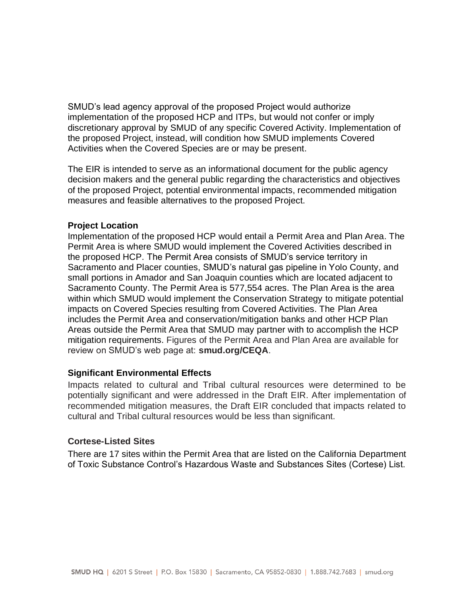SMUD's lead agency approval of the proposed Project would authorize implementation of the proposed HCP and ITPs, but would not confer or imply discretionary approval by SMUD of any specific Covered Activity. Implementation of the proposed Project, instead, will condition how SMUD implements Covered Activities when the Covered Species are or may be present.

The EIR is intended to serve as an informational document for the public agency decision makers and the general public regarding the characteristics and objectives of the proposed Project, potential environmental impacts, recommended mitigation measures and feasible alternatives to the proposed Project.

#### **Project Location**

Implementation of the proposed HCP would entail a Permit Area and Plan Area. The Permit Area is where SMUD would implement the Covered Activities described in the proposed HCP. The Permit Area consists of SMUD's service territory in Sacramento and Placer counties, SMUD's natural gas pipeline in Yolo County, and small portions in Amador and San Joaquin counties which are located adjacent to Sacramento County. The Permit Area is 577,554 acres. The Plan Area is the area within which SMUD would implement the Conservation Strategy to mitigate potential impacts on Covered Species resulting from Covered Activities. The Plan Area includes the Permit Area and conservation/mitigation banks and other HCP Plan Areas outside the Permit Area that SMUD may partner with to accomplish the HCP mitigation requirements. Figures of the Permit Area and Plan Area are available for review on SMUD's web page at: **smud.org/CEQA**.

## **Significant Environmental Effects**

Impacts related to cultural and Tribal cultural resources were determined to be potentially significant and were addressed in the Draft EIR. After implementation of recommended mitigation measures, the Draft EIR concluded that impacts related to cultural and Tribal cultural resources would be less than significant.

#### **Cortese-Listed Sites**

There are 17 sites within the Permit Area that are listed on the California Department of Toxic Substance Control's Hazardous Waste and Substances Sites (Cortese) List.